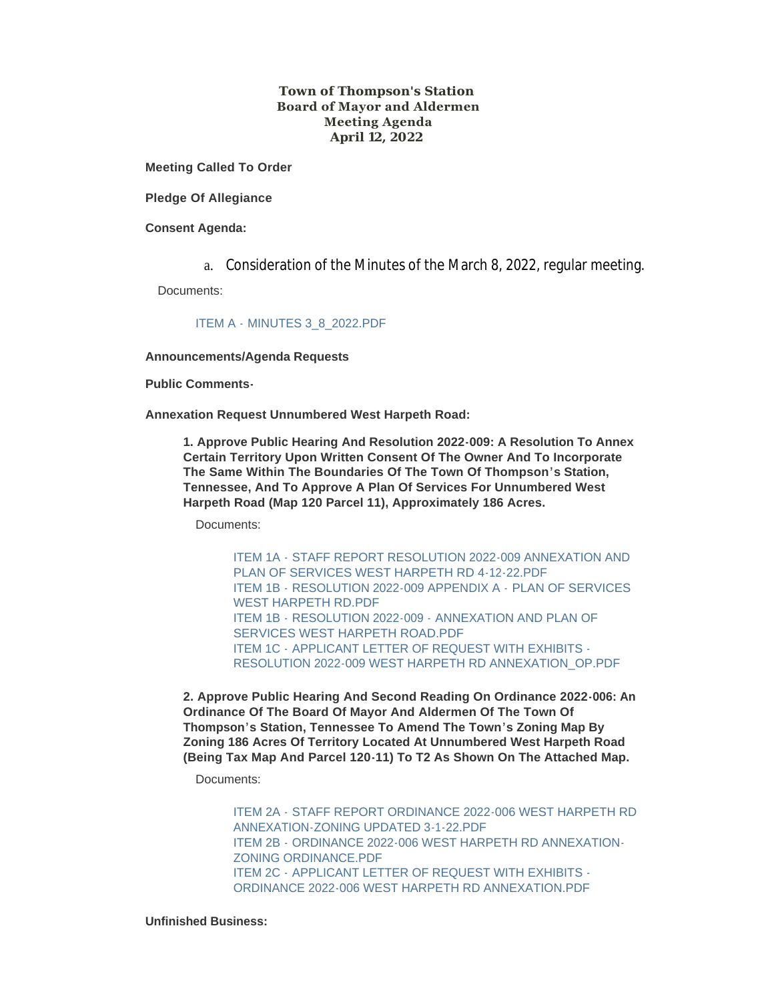### **Town of Thompson's Station Board of Mayor and Aldermen Meeting Agenda April 12, 2022**

**Meeting Called To Order**

**Pledge Of Allegiance**

**Consent Agenda:**

a. Consideration of the Minutes of the March 8, 2022, regular meeting.

Documents:

ITEM A - [MINUTES 3\\_8\\_2022.PDF](https://www.thompsons-station.com/AgendaCenter/ViewFile/Item/3730?fileID=16058)

**Announcements/Agenda Requests**

**Public Comments-**

**Annexation Request Unnumbered West Harpeth Road:**

**1. Approve Public Hearing And Resolution 2022-009: A Resolution To Annex Certain Territory Upon Written Consent Of The Owner And To Incorporate The Same Within The Boundaries Of The Town Of Thompson's Station, Tennessee, And To Approve A Plan Of Services For Unnumbered West Harpeth Road (Map 120 Parcel 11), Approximately 186 Acres.** 

Documents:

ITEM 1A - [STAFF REPORT RESOLUTION 2022-009 ANNEXATION AND](https://www.thompsons-station.com/AgendaCenter/ViewFile/Item/3754?fileID=16098)  PLAN OF SERVICES WEST HARPETH RD 4-12-22.PDF ITEM 1B - [RESOLUTION 2022-009 APPENDIX A -](https://www.thompsons-station.com/AgendaCenter/ViewFile/Item/3754?fileID=16097) PLAN OF SERVICES WEST HARPETH RD.PDF ITEM 1B - RESOLUTION 2022-009 - ANNEXATION AND PLAN OF [SERVICES WEST HARPETH ROAD.PDF](https://www.thompsons-station.com/AgendaCenter/ViewFile/Item/3754?fileID=16099) ITEM 1C - APPLICANT LETTER OF REQUEST WITH EXHIBITS - [RESOLUTION 2022-009 WEST HARPETH RD ANNEXATION\\_OP.PDF](https://www.thompsons-station.com/AgendaCenter/ViewFile/Item/3754?fileID=16100)

**2. Approve Public Hearing And Second Reading On Ordinance 2022-006: An Ordinance Of The Board Of Mayor And Aldermen Of The Town Of Thompson's Station, Tennessee To Amend The Town's Zoning Map By Zoning 186 Acres Of Territory Located At Unnumbered West Harpeth Road (Being Tax Map And Parcel 120-11) To T2 As Shown On The Attached Map.**

Documents:

ITEM 2A - [STAFF REPORT ORDINANCE 2022-006 WEST HARPETH RD](https://www.thompsons-station.com/AgendaCenter/ViewFile/Item/3755?fileID=16102)  ANNEXATION-ZONING UPDATED 3-1-22.PDF ITEM 2B - [ORDINANCE 2022-006 WEST HARPETH RD ANNEXATION-](https://www.thompsons-station.com/AgendaCenter/ViewFile/Item/3755?fileID=16103)ZONING ORDINANCE.PDF ITEM 2C - APPLICANT LETTER OF REQUEST WITH EXHIBITS - ORDINANCE 2022-006 WEST HARPETH RD ANNEXATION PDF

**Unfinished Business:**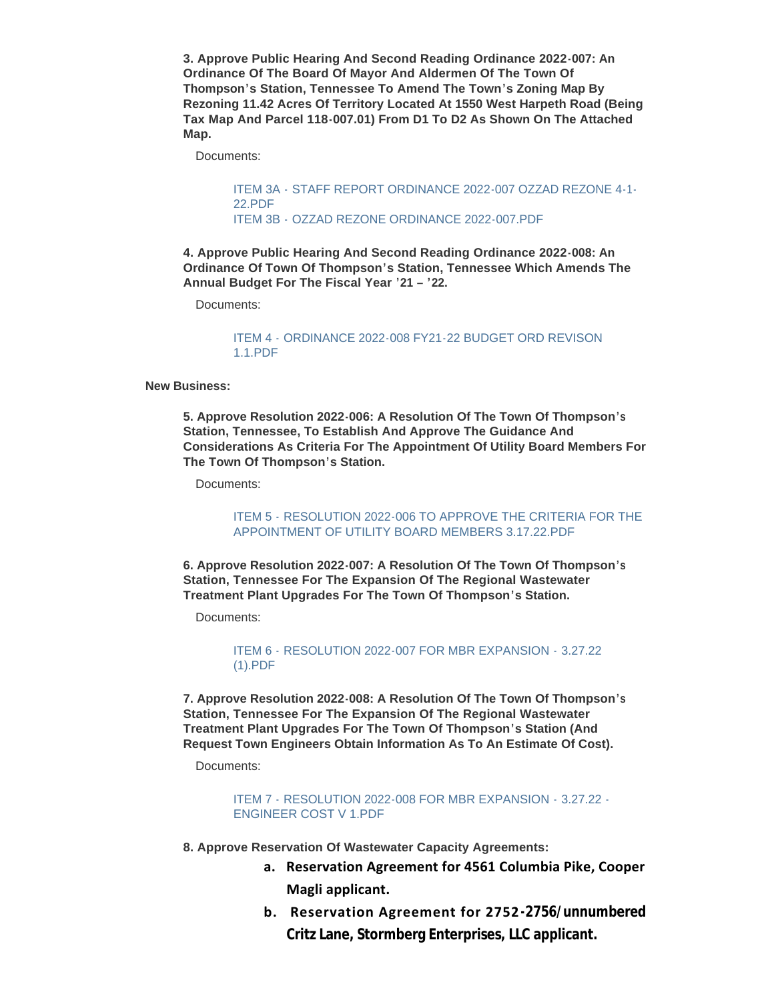**3. Approve Public Hearing And Second Reading Ordinance 2022-007: An Ordinance Of The Board Of Mayor And Aldermen Of The Town Of Thompson's Station, Tennessee To Amend The Town's Zoning Map By Rezoning 11.42 Acres Of Territory Located At 1550 West Harpeth Road (Being Tax Map And Parcel 118-007.01) From D1 To D2 As Shown On The Attached Map.**

Documents:

ITEM 3A - [STAFF REPORT ORDINANCE 2022-007 OZZAD REZONE 4-1-](https://www.thompsons-station.com/AgendaCenter/ViewFile/Item/3734?fileID=16067) 22.PDF ITEM 3B - [OZZAD REZONE ORDINANCE 2022-007.PDF](https://www.thompsons-station.com/AgendaCenter/ViewFile/Item/3734?fileID=16066)

**4. Approve Public Hearing And Second Reading Ordinance 2022-008: An Ordinance Of Town Of Thompson's Station, Tennessee Which Amends The Annual Budget For The Fiscal Year '21 – '22.**

Documents:

### ITEM 4 - [ORDINANCE 2022-008 FY21-22 BUDGET ORD REVISON](https://www.thompsons-station.com/AgendaCenter/ViewFile/Item/3735?fileID=16068)  1.1.PDF

**New Business:**

**5. Approve Resolution 2022-006: A Resolution Of The Town Of Thompson's Station, Tennessee, To Establish And Approve The Guidance And Considerations As Criteria For The Appointment Of Utility Board Members For The Town Of Thompson's Station.**

Documents:

ITEM 5 - [RESOLUTION 2022-006 TO APPROVE THE CRITERIA FOR THE](https://www.thompsons-station.com/AgendaCenter/ViewFile/Item/3736?fileID=16069)  APPOINTMENT OF UTILITY BOARD MEMBERS 3.17.22.PDF

**6. Approve Resolution 2022-007: A Resolution Of The Town Of Thompson's Station, Tennessee For The Expansion Of The Regional Wastewater Treatment Plant Upgrades For The Town Of Thompson's Station.**

Documents:

ITEM 6 - [RESOLUTION 2022-007 FOR MBR EXPANSION -](https://www.thompsons-station.com/AgendaCenter/ViewFile/Item/3737?fileID=16070) 3.27.22 (1).PDF

**7. Approve Resolution 2022-008: A Resolution Of The Town Of Thompson's Station, Tennessee For The Expansion Of The Regional Wastewater Treatment Plant Upgrades For The Town Of Thompson's Station (And Request Town Engineers Obtain Information As To An Estimate Of Cost).**

Documents:

ITEM 7 - [RESOLUTION 2022-008 FOR MBR EXPANSION -](https://www.thompsons-station.com/AgendaCenter/ViewFile/Item/3738?fileID=16071) 3.27.22 - ENGINEER COST V 1.PDF

- **8. Approve Reservation Of Wastewater Capacity Agreements:**
	- **a. Reservation Agreement for 4561 Columbia Pike, Cooper Magli applicant.**
	- **b. Reservation Agreement for 2752-2756/unnumbered Critz Lane, Stormberg Enterprises, LLC applicant.**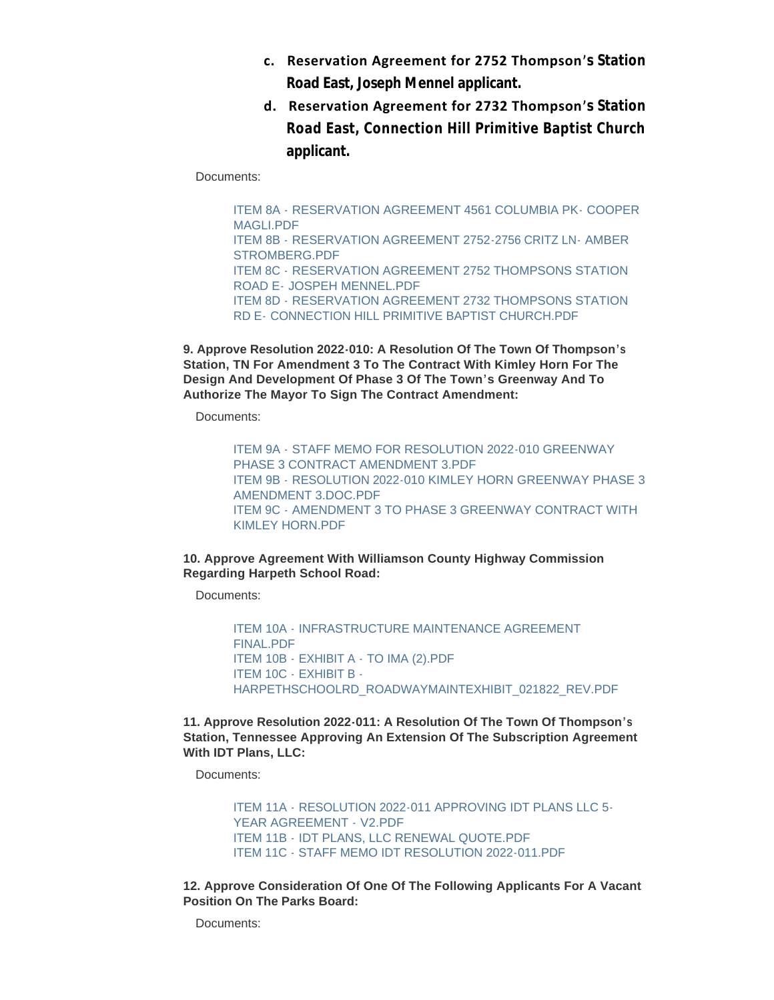- **c. Reservation Agreement for 2752 Thompson's Station Road East, Joseph Mennel applicant.**
- **d. Reservation Agreement for 2732 Thompson's Station Road East, Connection Hill Primitive Baptist Church applicant.**

Documents:

ITEM 8A - [RESERVATION AGREEMENT 4561 COLUMBIA PK-](https://www.thompsons-station.com/AgendaCenter/ViewFile/Item/3739?fileID=16073) COOPER MAGLI PDF ITEM 8B - [RESERVATION AGREEMENT 2752-2756 CRITZ LN-](https://www.thompsons-station.com/AgendaCenter/ViewFile/Item/3739?fileID=16074) AMBER STROMBERG.PDF ITEM 8C - [RESERVATION AGREEMENT 2752 THOMPSONS STATION](https://www.thompsons-station.com/AgendaCenter/ViewFile/Item/3739?fileID=16075)  ROAD E- JOSPEH MENNEL.PDF ITEM 8D - [RESERVATION AGREEMENT 2732 THOMPSONS STATION](https://www.thompsons-station.com/AgendaCenter/ViewFile/Item/3739?fileID=16072)  RD E- CONNECTION HILL PRIMITIVE BAPTIST CHURCH.PDF

**9. Approve Resolution 2022-010: A Resolution Of The Town Of Thompson's Station, TN For Amendment 3 To The Contract With Kimley Horn For The Design And Development Of Phase 3 Of The Town's Greenway And To Authorize The Mayor To Sign The Contract Amendment:**

Documents:

ITEM 9A - [STAFF MEMO FOR RESOLUTION 2022-010 GREENWAY](https://www.thompsons-station.com/AgendaCenter/ViewFile/Item/3740?fileID=16077)  PHASE 3 CONTRACT AMENDMENT 3.PDF ITEM 9B - [RESOLUTION 2022-010 KIMLEY HORN GREENWAY PHASE 3](https://www.thompsons-station.com/AgendaCenter/ViewFile/Item/3740?fileID=16078)  AMENDMENT 3.DOC.PDF ITEM 9C - [AMENDMENT 3 TO PHASE 3 GREENWAY CONTRACT WITH](https://www.thompsons-station.com/AgendaCenter/ViewFile/Item/3740?fileID=16076)  KIMLEY HORN.PDF

## **10. Approve Agreement With Williamson County Highway Commission Regarding Harpeth School Road:**

Documents:

ITEM 10A - [INFRASTRUCTURE MAINTENANCE AGREEMENT](https://www.thompsons-station.com/AgendaCenter/ViewFile/Item/3741?fileID=16079)  FINAL.PDF ITEM 10B - EXHIBIT A - [TO IMA \(2\).PDF](https://www.thompsons-station.com/AgendaCenter/ViewFile/Item/3741?fileID=16080) ITEM 10C - EXHIBIT B - [HARPETHSCHOOLRD\\_ROADWAYMAINTEXHIBIT\\_021822\\_REV.PDF](https://www.thompsons-station.com/AgendaCenter/ViewFile/Item/3741?fileID=16081)

**11. Approve Resolution 2022-011: A Resolution Of The Town Of Thompson's Station, Tennessee Approving An Extension Of The Subscription Agreement With IDT Plans, LLC:**

Documents:

ITEM 11A - [RESOLUTION 2022-011 APPROVING IDT PLANS LLC 5-](https://www.thompsons-station.com/AgendaCenter/ViewFile/Item/3742?fileID=16082) YEAR AGREEMENT - V2.PDF ITEM 11B - [IDT PLANS, LLC RENEWAL QUOTE.PDF](https://www.thompsons-station.com/AgendaCenter/ViewFile/Item/3742?fileID=16083) [ITEM 11C - STAFF MEMO IDT RESOLUTION 2022-011.PDF](https://www.thompsons-station.com/AgendaCenter/ViewFile/Item/3742?fileID=16084)

**12. Approve Consideration Of One Of The Following Applicants For A Vacant Position On The Parks Board:**

Documents: